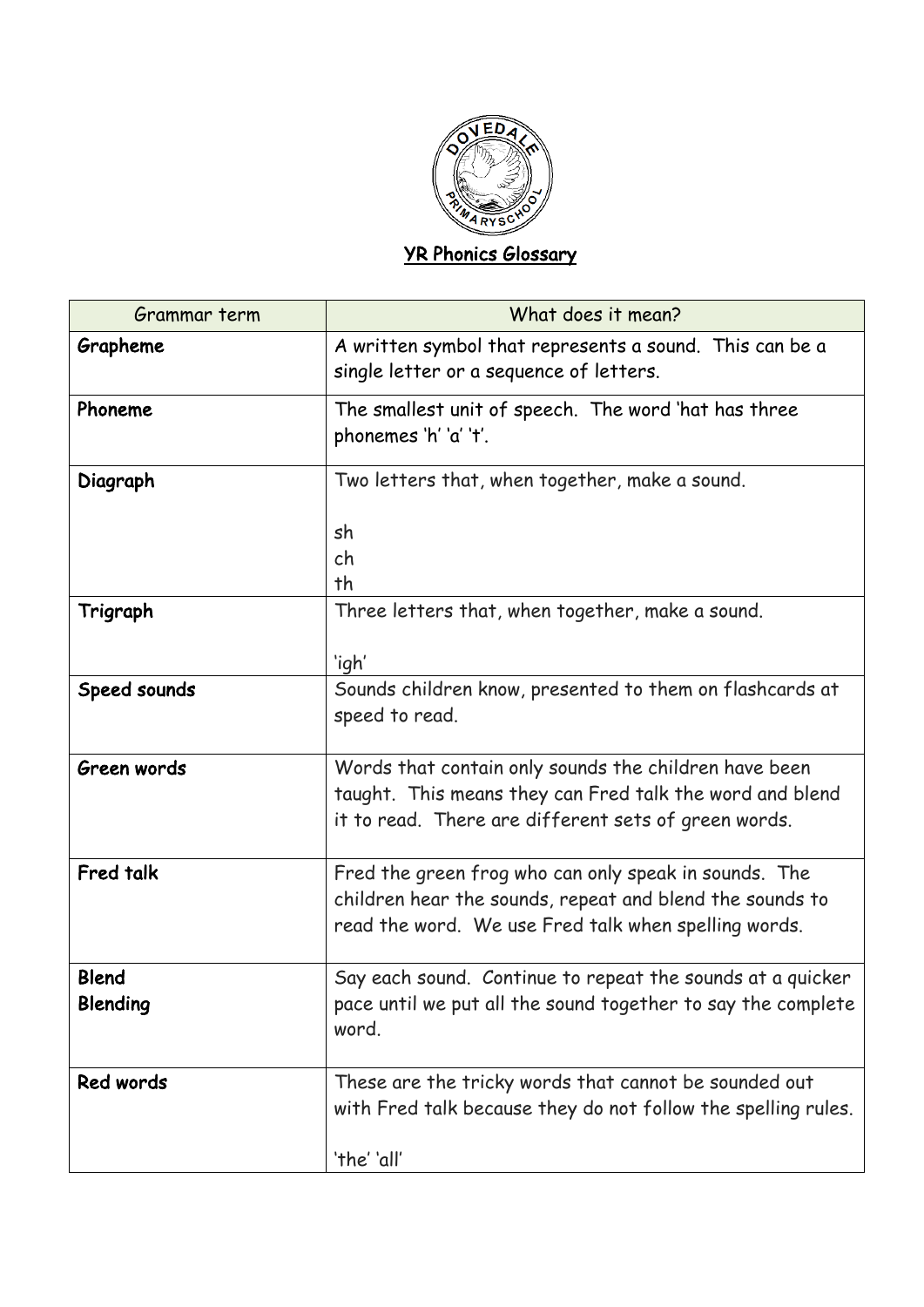

## YR Phonics Glossary

| Grammar term                    | What does it mean?                                                                                                                                                        |
|---------------------------------|---------------------------------------------------------------------------------------------------------------------------------------------------------------------------|
| Grapheme                        | A written symbol that represents a sound. This can be a<br>single letter or a sequence of letters.                                                                        |
| Phoneme                         | The smallest unit of speech. The word 'hat has three<br>phonemes 'h' 'a' 't'.                                                                                             |
| Diagraph                        | Two letters that, when together, make a sound.                                                                                                                            |
|                                 | sh<br>ch<br>th                                                                                                                                                            |
| Trigraph                        | Three letters that, when together, make a sound.<br>'igh'                                                                                                                 |
| Speed sounds                    | Sounds children know, presented to them on flashcards at<br>speed to read.                                                                                                |
| Green words                     | Words that contain only sounds the children have been<br>taught. This means they can Fred talk the word and blend<br>it to read. There are different sets of green words. |
| Fred talk                       | Fred the green frog who can only speak in sounds. The<br>children hear the sounds, repeat and blend the sounds to<br>read the word. We use Fred talk when spelling words. |
| <b>Blend</b><br><b>Blending</b> | Say each sound. Continue to repeat the sounds at a quicker<br>pace until we put all the sound together to say the complete<br>word.                                       |
| Red words                       | These are the tricky words that cannot be sounded out<br>with Fred talk because they do not follow the spelling rules.<br>'the' 'all'                                     |